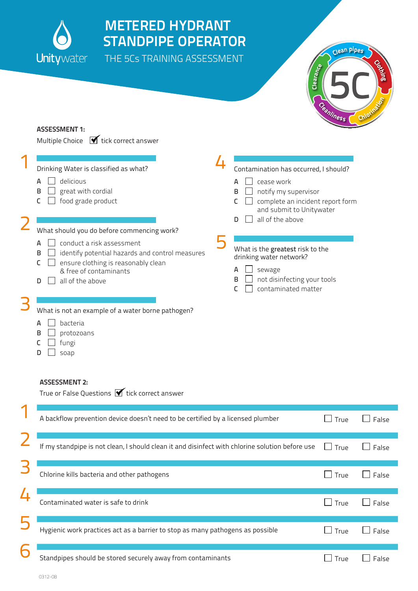

1

2

3

## METERED HYDRANT STANDPIPE OPERATOR

THE 5Cs TRAINING ASSESSMENT



## Assessment 1: Multiple Choice  $\bigtriangledown$  tick correct answer Drinking Water is classified as what?  $A \Box$  delicious  $\mathsf{B} \square$  great with cordial  $C \Box$  food grade product What should you do before commencing work?  $A \Box$  conduct a risk assessment  $\mathsf{B} \quad \Box$  identify potential hazards and control measures  $C \square$  ensure clothing is reasonably clean & free of contaminants  $\Box$  all of the above What is not an example of a water borne pathogen?  $A \square$  bacteria  $\mathsf{B} \ \Box$  protozoans  $C$   $\Box$  fungi  $D \square$  soap Contamination has occurred, I should?  $A \Box$  cease work  $\mathsf{B} \quad \Box \quad \text{notify}$  my supervisor  $C \square$  complete an incident report form and submit to Unitywater  $\mathsf{D}$  all of the above What is the greatest risk to the drinking water network?  $A \Box$  sewage  $\mathsf{B} \quad \Box \quad \text{not } \text{dis}$  in fecting your tools  $C \quad \Box \quad$  contaminated matter Assessment 2: True or False Questions  $\blacktriangledown$  tick correct answer 5 4

|   | A backflow prevention device doesn't need to be certified by a licensed plumber                 | $\perp$ True | False<br>$\mathsf{I}$ |  |
|---|-------------------------------------------------------------------------------------------------|--------------|-----------------------|--|
|   | If my standpipe is not clean, I should clean it and disinfect with chlorine solution before use | True         | False                 |  |
| P | Chlorine kills bacteria and other pathogens                                                     | l True       | False                 |  |
|   | Contaminated water is safe to drink                                                             | $\Box$ True  | False                 |  |
| 5 | Hygienic work practices act as a barrier to stop as many pathogens as possible                  | True         | False<br>$\mathsf{I}$ |  |
| 6 | Standpipes should be stored securely away from contaminants                                     | True         | False                 |  |